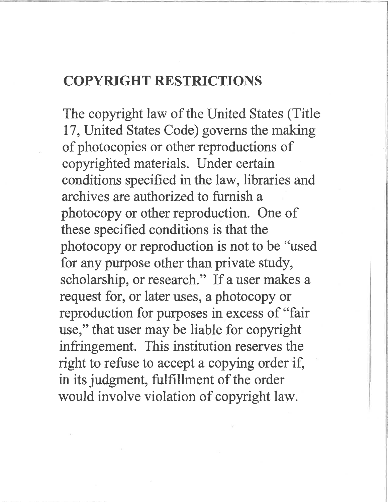# COPYRIGHT RESTRICTIONS

The copyright law of the United States (Title 17, United States Code) governs the making of photocopies or other reproductions of copyrighted materials. Under certain conditions specified in the law, libraries and archives are authorized to furnish a photocopy or other reproduction. One of these specified conditions is that the photocopy or reproduction is not to be "used for any purpose other than private study, scholarship, or research." If a user makes a request for, or later uses, a photocopy or reproduction for purposes in excess of "fair use," that user may be liable for copyright infringement. This institution reserves the right to refuse to accept a copying order if, in its judgment, fulfillment of the order would involve violation of copyright law.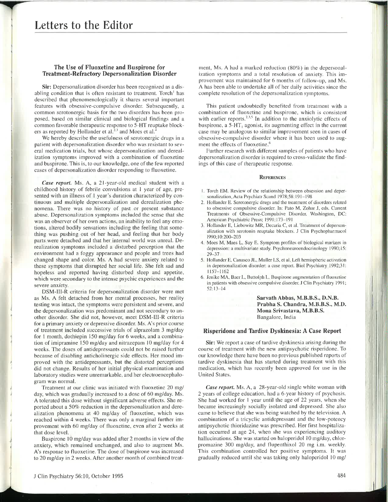# **Letters to the Editor**

## The Use of Fluoxetine and Buspirone for Treatment-Refractory Depersonalization Disorder

Sir: Depersonalization disorder has been recognized as a disabling condition that is often resistant to treatment. Torch<sup>1</sup> has described that phenomenologically it shares several important features with obsessive-compulsive disorder. Subsequently, a common serotonergic basis for the two disorders has been proposed, based on similar clinical and biological findings and a common favorable therapeutic response to 5-HT reuptake blockers as reported by Hollander et al. $2.3$  and Moes et al.

We hereby describe the usefulness of serotonergic drugs in a patient with depersonalization disorder who was resistant to several medication trials, but whose depersonalization and derealization symptoms improved with a combination of fluoxetine and buspirone. This is. to our knowledge, one of the few reported cases of depersonalization disorder responding to fluoxetine.

*Case report.* Ms. A, a 21-year-old medical student with a childhood history of febrile convulsions at I year of age, presented with an illness of I year's duration characterized by continuous and multiple depersonalization and derealization phenomena. There was no history of past or present substance abuse. Depersonalization symptoms included the sense that she was an observer of her own actions, an inability to feel any emotions, altered bodily sensations including the feeling that something was pushing out of her head, and feeling that her body parts were detached and that her internal world was unreal. Derealization symptoms included a disturbed perception that the environment had a foggy appearance and people and trees had changed shape and color. Ms. A had severe anxiety related to these symptoms that disrupted her social life. She felt sad and hopeless and reported having disturbed sleep and appetite, which were secondary to the intense psychic experiences and the severe anxiety.

DSM-III-R criteria for depersonalization disorder were met as Ms. A felt detached from her mental processes, her reality testing was intact, the symptoms were persistent and severe, and the depersonalization was predominant and not secondary to another disorder. She did not, however, meet DSM-III-R criteria for a primary anxiety or depressive disorder. Ms. A's prior course of treatment included successive trials of alprazolam 3 mg/day for 1 month, dothiepin 150 mg/day for 6 weeks, and a combination of imipramine 150 mg/day and nitrazepam 10 mg/day for 4 weeks. The doses of antidepressants could not be raised further because of disabling anticholinergic side effects. Her mood improved with the antidepressants, but the distorted perceptions did not change. Results of her initial physical examination and laboratory studies were unremarkable, and her electroencephalogram was normal.

Treatment at our clinic was initiated with fluoxetine 20 mg/ day, which was gradually increased to a dose of 60 mg/day. Ms. A tolerated this dose without significant adverse effects. She reported about a 50% reduction in the depersonalization and derealization phenomena at 40 mg/day of fluoxetine, which was reached within 4 weeks. There was only a marginal further improvement with 60 mg/day of fluoxetine, even after 2 weeks at that dose level.

Buspirone 10 mg/day was added after 2 months in view of the anxiety, which remained unchanged, and also to augment Ms. A's response to fluoxetine. The dose of buspirone was increased to 20 mg/day in 2 weeks. After another month of combined treatment, Ms. A had a marked reduction (80%) in the depersonalization symptoms and a total resolution of anxiety. This improvement was maintained for 6 months of follow-up, and Ms. A has been able to undertake all of her daily activities since the complete resolution of the depersonalization symptoms.

This patient undoubtedly benefited from treatment with a combination of fluoxetine and buspirone, which is consistent with earlier reports. $23.5$  In addition to the anxiolytic effects of buspirone, a  $5-HT_1$  agonist, its augmenting effect in the current case may be analogous to similar improvement seen in cases of obsessive-compulsive disorder where it has been used to augment the effects of fluoxetine.<sup>6</sup>

Further research with different samples of patients who have depersonalization disorder is required to cross-validate the findings of this case of therapeutic response.

#### **REFERENCES**

- I. Torch EM. Review of the relationship between obsession and depersonalization, Acta Psychiatr Scand 1978;58:191-198
- 2. Hollander E. Scrotonergic drugs and the treatment of disorders related to obsessive compulsive disorder. In: Pato M. Zohar J, eds, Current Treatments of Obsessive-Compulsive Disorder. Washington, DC: American Psychiatric Press; 1991:173-191
- 3. Hollander E, Liebowitz MR, Decaria C, et al. Treatment of depersonalization with serotonin reuptake blockers. J Clin Psychopharmacol 1990;10:200-203
- 4. Moes M. Maes L. Suy E. Symptom profiles of biological markers in depression: a multivariate study. Psychoneuroendocrinology 1990; 15: 29-37
- 5. Hollander E. Canasco JL, Muller LS, et al. Left hemispheric activation in depersonalization disorder: a case report. Bioi Psychiatry 1992;31: 1157-1162
- 6. Jenike MA, Baer L, Buttolph L. Buspirone augmentation of fluoxetine in patients with obsessive compulsive disorder. J Clin Psychiatry 1991; 52:13-14

Sarvath Abbas, M.B.B.S., D.N.B. Prabha S. Chandra, M.B.B.S., M.D. Mona Srivastava, M.B.B.S. Bangalore, India

## Risperidone and Tardive Dyskinesia: A Case Report

Sir: We report a case of tardive dyskinesia arising during the course of treatment with the new antipsychotic risperidone. To our knowledge there have been no previous published reports of tardive dyskinesia that has started during treatment with this medication, which has recently been approved for use in the United States.

*Case report.* Ms. A, a 28-year-old single white woman with 2 years of college education, had a 6-year history of psychosis. She had worked for <sup>1</sup> year until the age of 22 years, when she became increasingly socially isolated and depressed. She also came to believe that she was being watched by the television. A combination of a tricyclic antidepressant and the low-potency antipsychotic thioridazine was prescribed. Her first hospitalization occurred at age 24, when she was experiencing auditory hallucinations. She was started on haloperidol 10 mg/day, chlorpromazine 300 mg/day, and flupenthixol 20 mg i.m. weekly. This combination controlled her positive symptoms. It was gradually reduced until she was taking only haloperidol 10 mg/